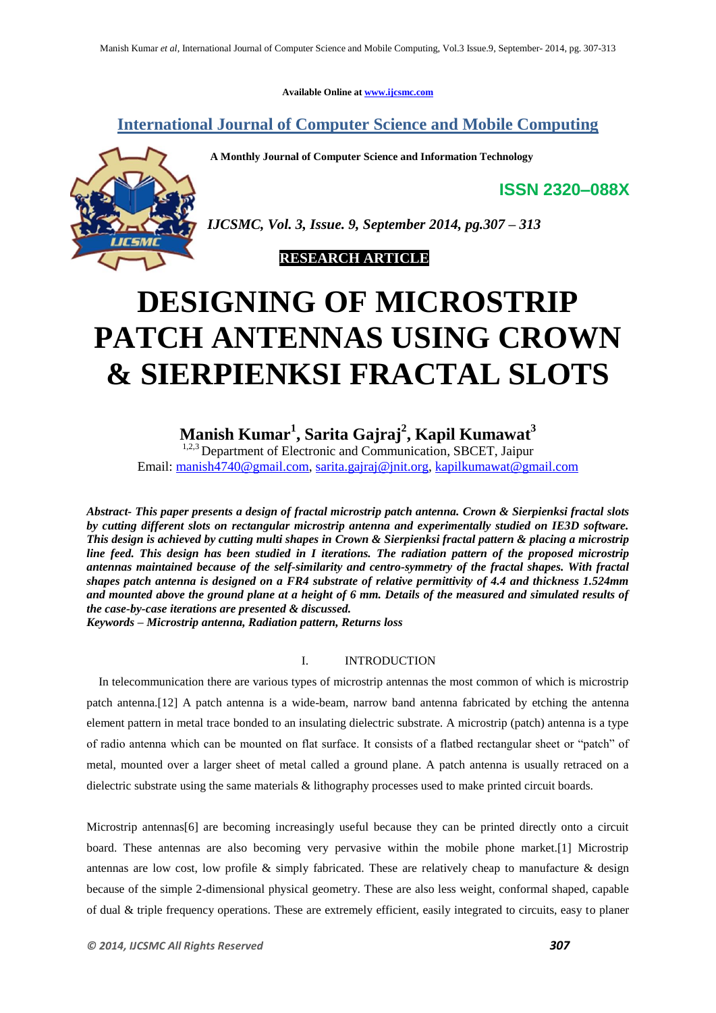**Available Online at www.ijcsmc.com**

**International Journal of Computer Science and Mobile Computing**

**A Monthly Journal of Computer Science and Information Technology**

**ISSN 2320–088X**



*IJCSMC, Vol. 3, Issue. 9, September 2014, pg.307 – 313*

 **RESEARCH ARTICLE**

# **DESIGNING OF MICROSTRIP PATCH ANTENNAS USING CROWN & SIERPIENKSI FRACTAL SLOTS**

# **Manish Kumar<sup>1</sup> , Sarita Gajraj<sup>2</sup> , Kapil Kumawat<sup>3</sup>**

 $1,2,3$  Department of Electronic and Communication, SBCET, Jaipur Email: manish4740@gmail.com, sarita.gajraj@jnit.org, kapilkumawat@gmail.com

*Abstract- This paper presents a design of fractal microstrip patch antenna. Crown & Sierpienksi fractal slots by cutting different slots on rectangular microstrip antenna and experimentally studied on IE3D software. This design is achieved by cutting multi shapes in Crown & Sierpienksi fractal pattern & placing a microstrip line feed. This design has been studied in I iterations. The radiation pattern of the proposed microstrip antennas maintained because of the self-similarity and centro-symmetry of the fractal shapes. With fractal shapes patch antenna is designed on a FR4 substrate of relative permittivity of 4.4 and thickness 1.524mm and mounted above the ground plane at a height of 6 mm. Details of the measured and simulated results of the case-by-case iterations are presented & discussed.*

*Keywords – Microstrip antenna, Radiation pattern, Returns loss*

#### I. INTRODUCTION

In telecommunication there are various types of microstrip antennas the most common of which is microstrip patch antenna.[12] A patch antenna is a wide-beam, narrow band antenna fabricated by etching the antenna element pattern in metal trace bonded to an insulating dielectric substrate. A microstrip (patch) antenna is a type of radio antenna which can be mounted on flat surface. It consists of a flatbed rectangular sheet or "patch" of metal, mounted over a larger sheet of metal called a ground plane. A patch antenna is usually retraced on a dielectric substrate using the same materials & lithography processes used to make printed circuit boards.

Microstrip antennas<sup>[6]</sup> are becoming increasingly useful because they can be printed directly onto a circuit board. These antennas are also becoming very pervasive within the mobile phone market.[1] Microstrip antennas are low cost, low profile & simply fabricated. These are relatively cheap to manufacture & design because of the simple 2-dimensional physical geometry. These are also less weight, conformal shaped, capable of dual & triple frequency operations. These are extremely efficient, easily integrated to circuits, easy to planer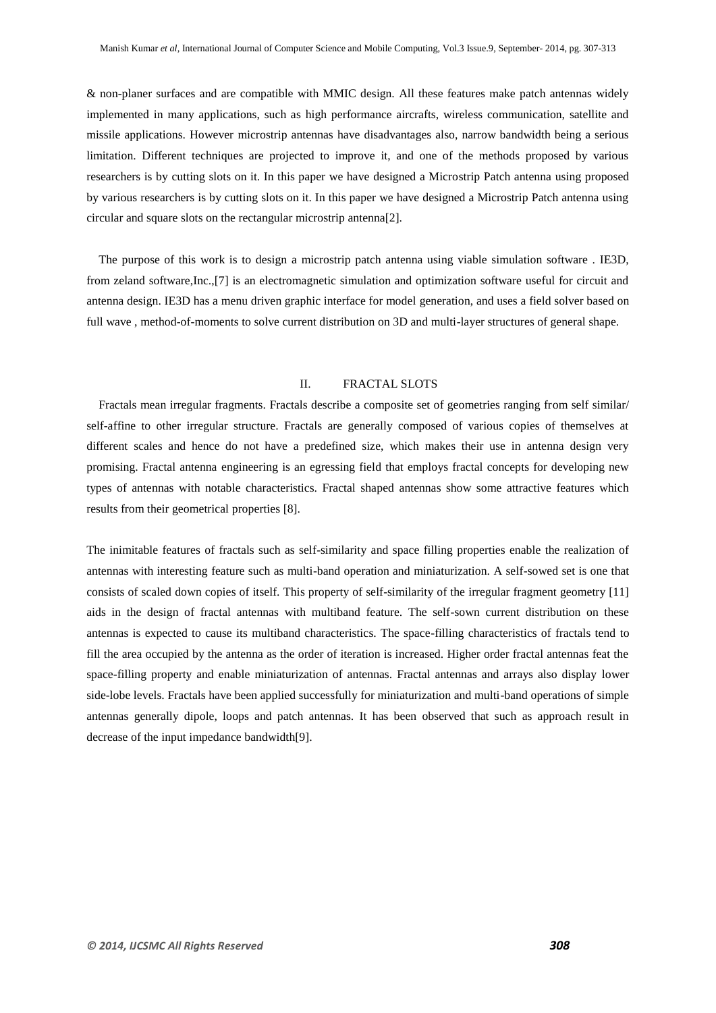& non-planer surfaces and are compatible with MMIC design. All these features make patch antennas widely implemented in many applications, such as high performance aircrafts, wireless communication, satellite and missile applications. However microstrip antennas have disadvantages also, narrow bandwidth being a serious limitation. Different techniques are projected to improve it, and one of the methods proposed by various researchers is by cutting slots on it. In this paper we have designed a Microstrip Patch antenna using proposed by various researchers is by cutting slots on it. In this paper we have designed a Microstrip Patch antenna using circular and square slots on the rectangular microstrip antenna[2].

The purpose of this work is to design a microstrip patch antenna using viable simulation software . IE3D, from zeland software,Inc.,[7] is an electromagnetic simulation and optimization software useful for circuit and antenna design. IE3D has a menu driven graphic interface for model generation, and uses a field solver based on full wave , method-of-moments to solve current distribution on 3D and multi-layer structures of general shape.

#### II. FRACTAL SLOTS

Fractals mean irregular fragments. Fractals describe a composite set of geometries ranging from self similar/ self-affine to other irregular structure. Fractals are generally composed of various copies of themselves at different scales and hence do not have a predefined size, which makes their use in antenna design very promising. Fractal antenna engineering is an egressing field that employs fractal concepts for developing new types of antennas with notable characteristics. Fractal shaped antennas show some attractive features which results from their geometrical properties [8].

The inimitable features of fractals such as self-similarity and space filling properties enable the realization of antennas with interesting feature such as multi-band operation and miniaturization. A self-sowed set is one that consists of scaled down copies of itself. This property of self-similarity of the irregular fragment geometry [11] aids in the design of fractal antennas with multiband feature. The self-sown current distribution on these antennas is expected to cause its multiband characteristics. The space-filling characteristics of fractals tend to fill the area occupied by the antenna as the order of iteration is increased. Higher order fractal antennas feat the space-filling property and enable miniaturization of antennas. Fractal antennas and arrays also display lower side-lobe levels. Fractals have been applied successfully for miniaturization and multi-band operations of simple antennas generally dipole, loops and patch antennas. It has been observed that such as approach result in decrease of the input impedance bandwidth[9].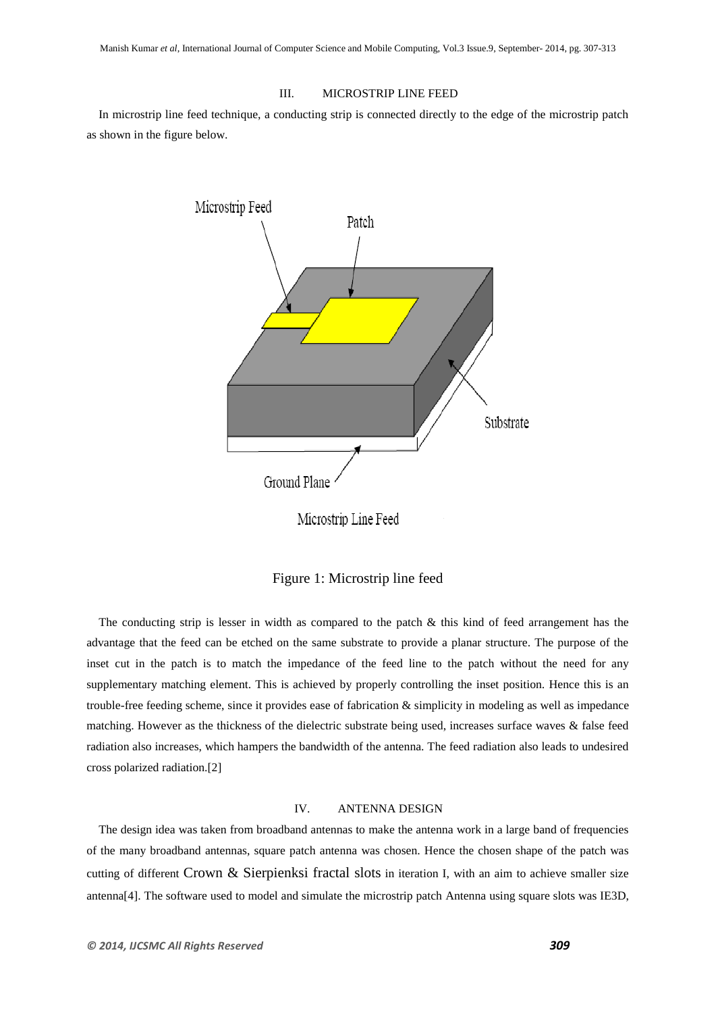### III. MICROSTRIP LINE FEED

In microstrip line feed technique, a conducting strip is connected directly to the edge of the microstrip patch as shown in the figure below.



Figure 1: Microstrip line feed

The conducting strip is lesser in width as compared to the patch  $\&$  this kind of feed arrangement has the advantage that the feed can be etched on the same substrate to provide a planar structure. The purpose of the inset cut in the patch is to match the impedance of the feed line to the patch without the need for any supplementary matching element. This is achieved by properly controlling the inset position. Hence this is an trouble-free feeding scheme, since it provides ease of fabrication & simplicity in modeling as well as impedance matching. However as the thickness of the dielectric substrate being used, increases surface waves & false feed radiation also increases, which hampers the bandwidth of the antenna. The feed radiation also leads to undesired cross polarized radiation.[2]

### IV. ANTENNA DESIGN

The design idea was taken from broadband antennas to make the antenna work in a large band of frequencies of the many broadband antennas, square patch antenna was chosen. Hence the chosen shape of the patch was cutting of different Crown & Sierpienksi fractal slots in iteration I, with an aim to achieve smaller size antenna[4]. The software used to model and simulate the microstrip patch Antenna using square slots was IE3D,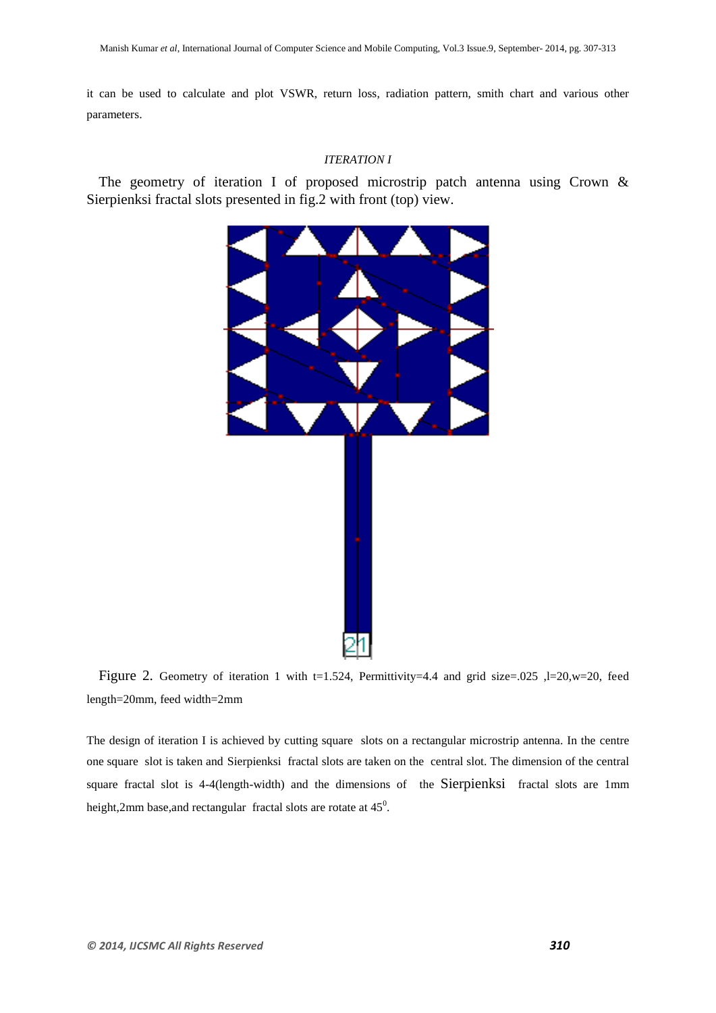it can be used to calculate and plot VSWR, return loss, radiation pattern, smith chart and various other parameters.

## *ITERATION I*

The geometry of iteration I of proposed microstrip patch antenna using Crown & Sierpienksi fractal slots presented in fig.2 with front (top) view.



Figure 2. Geometry of iteration 1 with t=1.524, Permittivity=4.4 and grid size=.025 ,l=20,w=20, feed length=20mm, feed width=2mm

The design of iteration I is achieved by cutting square slots on a rectangular microstrip antenna. In the centre one square slot is taken and Sierpienksi fractal slots are taken on the central slot. The dimension of the central square fractal slot is 4-4(length-width) and the dimensions of the Sierpienksi fractal slots are 1mm height,2mm base, and rectangular fractal slots are rotate at  $45^\circ$ .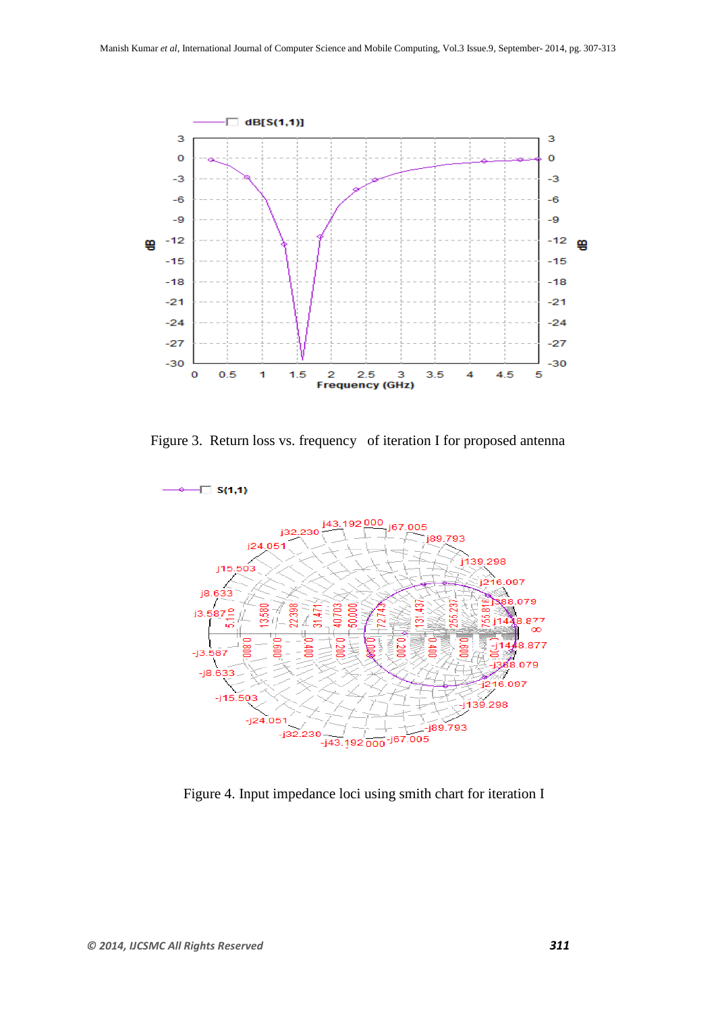

Figure 3. Return loss vs. frequency of iteration I for proposed antenna



Figure 4. Input impedance loci using smith chart for iteration I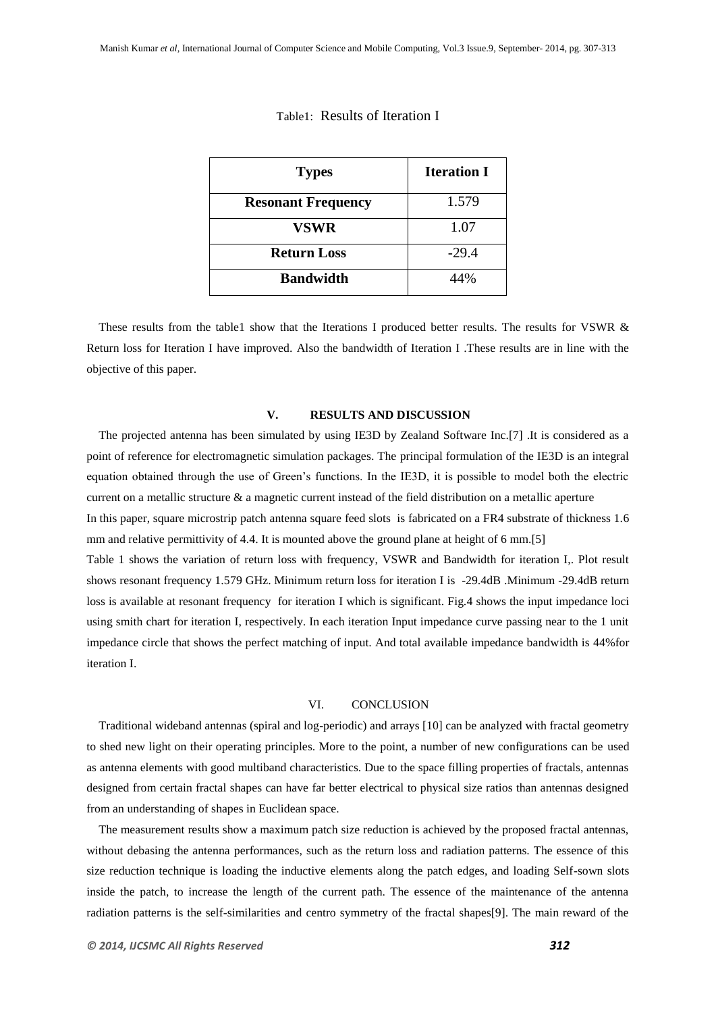| <b>Types</b>              | <b>Iteration I</b> |
|---------------------------|--------------------|
| <b>Resonant Frequency</b> | 1.579              |
| <b>VSWR</b>               | 1.07               |
| <b>Return Loss</b>        | $-29.4$            |
| <b>Bandwidth</b>          | 44%                |

#### Table1: Results of Iteration I

These results from the table1 show that the Iterations I produced better results. The results for VSWR & Return loss for Iteration I have improved. Also the bandwidth of Iteration I .These results are in line with the objective of this paper.

#### **V. RESULTS AND DISCUSSION**

The projected antenna has been simulated by using IE3D by Zealand Software Inc.[7] .It is considered as a point of reference for electromagnetic simulation packages. The principal formulation of the IE3D is an integral equation obtained through the use of Green"s functions. In the IE3D, it is possible to model both the electric current on a metallic structure  $\&$  a magnetic current instead of the field distribution on a metallic aperture

In this paper, square microstrip patch antenna square feed slots is fabricated on a FR4 substrate of thickness 1.6 mm and relative permittivity of 4.4. It is mounted above the ground plane at height of 6 mm.[5]

Table 1 shows the variation of return loss with frequency, VSWR and Bandwidth for iteration I,. Plot result shows resonant frequency 1.579 GHz. Minimum return loss for iteration I is -29.4dB .Minimum -29.4dB return loss is available at resonant frequency for iteration I which is significant. Fig.4 shows the input impedance loci using smith chart for iteration I, respectively. In each iteration Input impedance curve passing near to the 1 unit impedance circle that shows the perfect matching of input. And total available impedance bandwidth is 44% for iteration I.

### VI. CONCLUSION

Traditional wideband antennas (spiral and log-periodic) and arrays [10] can be analyzed with fractal geometry to shed new light on their operating principles. More to the point, a number of new configurations can be used as antenna elements with good multiband characteristics. Due to the space filling properties of fractals, antennas designed from certain fractal shapes can have far better electrical to physical size ratios than antennas designed from an understanding of shapes in Euclidean space.

The measurement results show a maximum patch size reduction is achieved by the proposed fractal antennas, without debasing the antenna performances, such as the return loss and radiation patterns. The essence of this size reduction technique is loading the inductive elements along the patch edges, and loading Self-sown slots inside the patch, to increase the length of the current path. The essence of the maintenance of the antenna radiation patterns is the self-similarities and centro symmetry of the fractal shapes[9]. The main reward of the